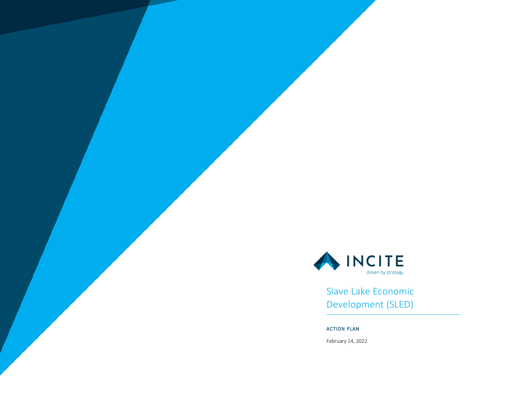

Slave Lake Economic Development (SLED)

## ACTION PLAN

February 14, 2022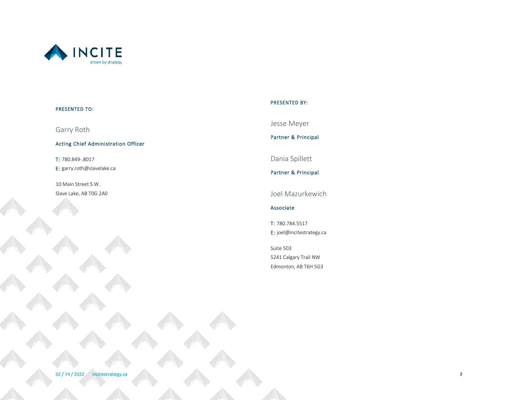

### PRESENTED TO:

Garry Roth

Acting Chief Administration Officer

T: 780.849-.8017 E: garry.roth@slavelake.ca

10 Main Street S.W. Slave Lake, AB T0G 2A0

### PRESENTED BY:

Jesse Meyer

Partner & Principal

Dania Spillett

Partner & Principal

Joel Mazurkewich

Associate

T: 780.784.5517 E: joel@incitestrategy.ca

Suite 503 5241 Calgary Trail NW Edmonton, AB T6H 5G3

02 / 14 / 2022 incitestrategy.ca **2**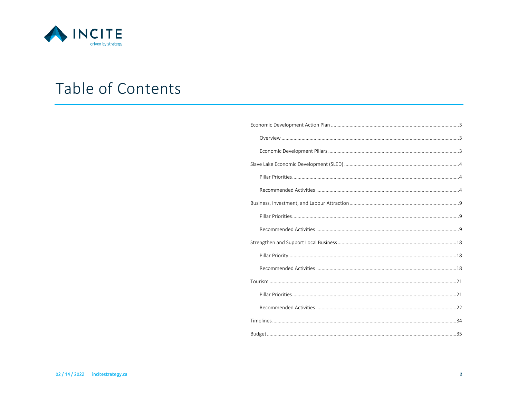

# Table of Contents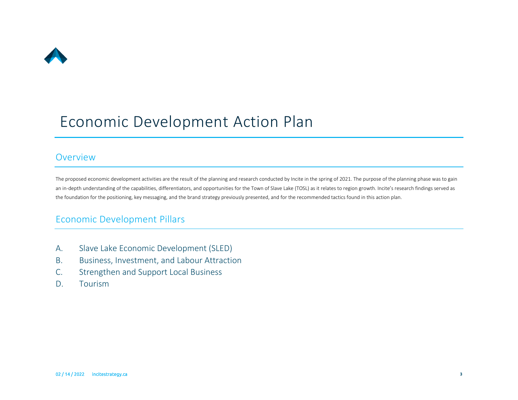

# <span id="page-3-0"></span>Economic Development Action Plan

## <span id="page-3-1"></span>Overview

The proposed economic development activities are the result of the planning and research conducted by Incite in the spring of 2021. The purpose of the planning phase was to gain an in-depth understanding of the capabilities, differentiators, and opportunities for the Town of Slave Lake (TOSL) as it relates to region growth. Incite's research findings served as the foundation for the positioning, key messaging, and the brand strategy previously presented, and for the recommended tactics found in this action plan.

# <span id="page-3-2"></span>Economic Development Pillars

- A. Slave Lake Economic Development (SLED)
- B. Business, Investment, and Labour Attraction
- C. Strengthen and Support Local Business
- D. Tourism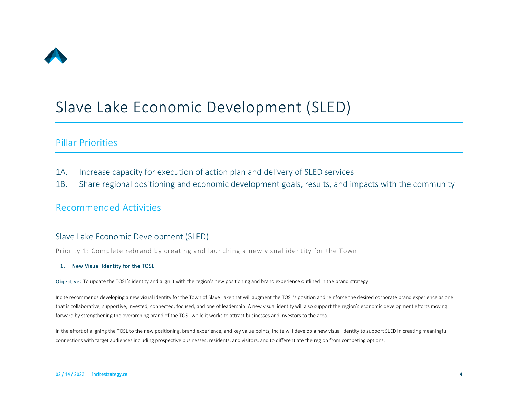

# <span id="page-4-0"></span>Slave Lake Economic Development (SLED)

# <span id="page-4-1"></span>Pillar Priorities

- 1A. Increase capacity for execution of action plan and delivery of SLED services
- 1B. Share regional positioning and economic development goals, results, and impacts with the community

## <span id="page-4-2"></span>Recommended Activities

## Slave Lake Economic Development (SLED)

Priority 1: Complete rebrand by creating and launching a new visual identity for the Town

## 1. New Visual Identity for the TOSL

Objective: To update the TOSL's identity and align it with the region's new positioning and brand experience outlined in the brand strategy

Incite recommends developing a new visual identity for the Town of Slave Lake that will augment the TOSL's position and reinforce the desired corporate brand experience as one that is collaborative, supportive, invested, connected, focused, and one of leadership. A new visual identity will also support the region's economic development efforts moving forward by strengthening the overarching brand of the TOSL while it works to attract businesses and investors to the area.

In the effort of aligning the TOSL to the new positioning, brand experience, and key value points, Incite will develop a new visual identity to support SLED in creating meaningful connections with target audiences including prospective businesses, residents, and visitors, and to differentiate the region from competing options.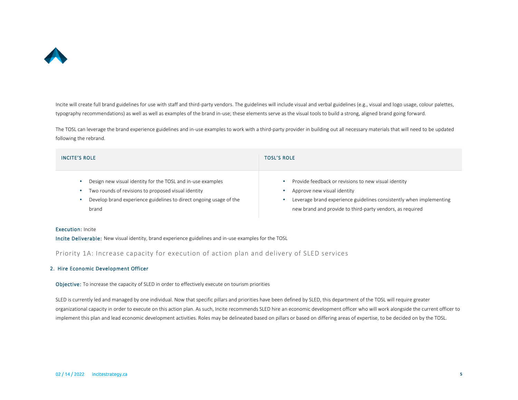

Incite will create full brand guidelines for use with staff and third-party vendors. The guidelines will include visual and verbal guidelines (e.g., visual and logo usage, colour palettes, typography recommendations) as well as well as examples of the brand in-use; these elements serve as the visual tools to build a strong, aligned brand going forward.

The TOSL can leverage the brand experience guidelines and in-use examples to work with a third-party provider in building out all necessary materials that will need to be updated following the rebrand.

| <b>INCITE'S ROLE</b>                                               | <b>TOSL'S ROLE</b>                                                  |
|--------------------------------------------------------------------|---------------------------------------------------------------------|
| Design new visual identity for the TOSL and in-use examples        | Provide feedback or revisions to new visual identity                |
| Two rounds of revisions to proposed visual identity                | Approve new visual identity                                         |
| Develop brand experience guidelines to direct ongoing usage of the | Leverage brand experience guidelines consistently when implementing |
| brand                                                              | new brand and provide to third-party vendors, as required           |

#### Execution: Incite

Incite Deliverable: New visual identity, brand experience guidelines and in-use examples for the TOSL

Priority 1A: Increase capacity for execution of action plan and delivery of SLED services

#### 2. Hire Economic Development Officer

Objective: To increase the capacity of SLED in order to effectively execute on tourism priorities

SLED is currently led and managed by one individual. Now that specific pillars and priorities have been defined by SLED, this department of the TOSL will require greater organizational capacity in order to execute on this action plan. As such, Incite recommends SLED hire an economic development officer who will work alongside the current officer to implement this plan and lead economic development activities. Roles may be delineated based on pillars or based on differing areas of expertise, to be decided on by the TOSL.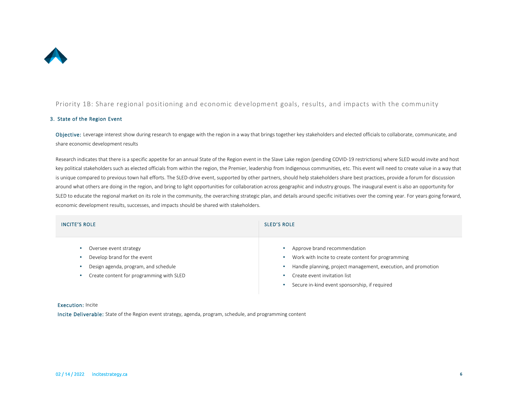

Priority 1B: Share regional positioning and economic development goals, results, and impacts with the community

#### 3. State of the Region Event

Objective: Leverage interest show during research to engage with the region in a way that brings together key stakeholders and elected officials to collaborate, communicate, and share economic development results

Research indicates that there is a specific appetite for an annual State of the Region event in the Slave Lake region (pending COVID-19 restrictions) where SLED would invite and host key political stakeholders such as elected officials from within the region, the Premier, leadership from Indigenous communities, etc. This event will need to create value in a way that is unique compared to previous town hall efforts. The SLED-drive event, supported by other partners, should help stakeholders share best practices, provide a forum for discussion around what others are doing in the region, and bring to light opportunities for collaboration across geographic and industry groups. The inaugural event is also an opportunity for SLED to educate the regional market on its role in the community, the overarching strategic plan, and details around specific initiatives over the coming year. For years going forward, economic development results, successes, and impacts should be shared with stakeholders.

| <b>INCITE'S ROLE</b>                                                                                                                      | <b>SLED'S ROLE</b>                                                                                                                                                                                                                   |
|-------------------------------------------------------------------------------------------------------------------------------------------|--------------------------------------------------------------------------------------------------------------------------------------------------------------------------------------------------------------------------------------|
| Oversee event strategy<br>Develop brand for the event<br>Design agenda, program, and schedule<br>Create content for programming with SLED | Approve brand recommendation<br>Work with Incite to create content for programming<br>Handle planning, project management, execution, and promotion<br>Create event invitation list<br>Secure in-kind event sponsorship, if required |

#### Execution: Incite

Incite Deliverable: State of the Region event strategy, agenda, program, schedule, and programming content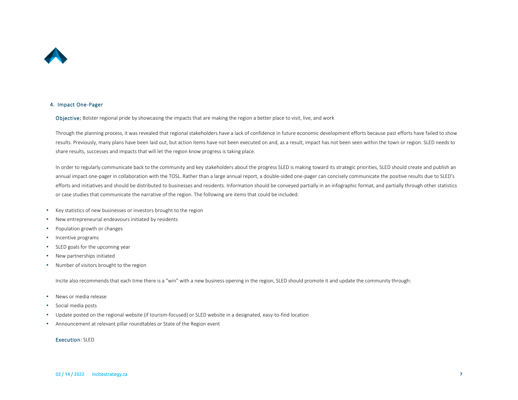

#### 4. Impact One-Pager

Objective: Bolster regional pride by showcasing the impacts that are making the region a better place to visit, live, and work

Through the planning process, it was revealed that regional stakeholders have a lack of confidence in future economic development efforts because past efforts have failed to show results. Previously, many plans have been laid out, but action items have not been executed on and, as a result, impact has not been seen within the town or region. SLED needs to share results, successes and impacts that will let the region know progress is taking place.

In order to regularly communicate back to the community and key stakeholders about the progress SLED is making toward its strategic priorities, SLED should create and publish an annual impact one-pager in collaboration with the TOSL. Rather than a large annual report, a double-sided one-pager can concisely communicate the positive results due to SLED's efforts and initiatives and should be distributed to businesses and residents. Information should be conveyed partially in an infographic format, and partially through other statistics or case studies that communicate the narrative of the region. The following are items that could be included:

- Key statistics of new businesses or investors brought to the region
- New entrepreneurial endeavours initiated by residents
- Population growth or changes
- Incentive programs
- SLED goals for the upcoming year
- New partnerships initiated
- Number of visitors brought to the region

Incite also recommends that each time there is a "win" with a new business opening in the region, SLED should promote it and update the community through:

- News or media release
- Social media posts
- Update posted on the regional website (if tourism-focused) or SLED website in a designated, easy-to-find location
- Announcement at relevant pillar roundtables or State of the Region event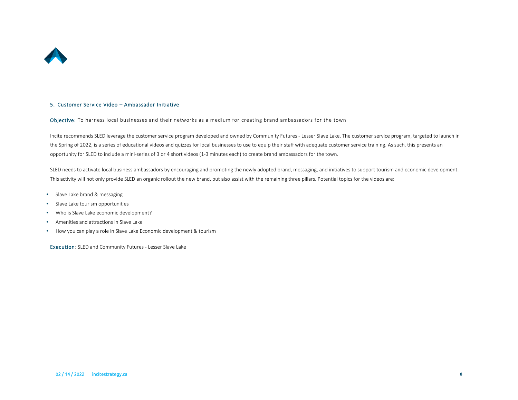

#### 5. Customer Service Video – Ambassador Initiative

Objective: To harness local businesses and their networks as a medium for creating brand ambassadors for the town

Incite recommends SLED leverage the customer service program developed and owned by Community Futures - Lesser Slave Lake. The customer service program, targeted to launch in the Spring of 2022, is a series of educational videos and quizzes for local businesses to use to equip their staff with adequate customer service training. As such, this presents an opportunity for SLED to include a mini-series of 3 or 4 short videos (1-3 minutes each) to create brand ambassadors for the town.

SLED needs to activate local business ambassadors by encouraging and promoting the newly adopted brand, messaging, and initiatives to support tourism and economic development. This activity will not only provide SLED an organic rollout the new brand, but also assist with the remaining three pillars. Potential topics for the videos are:

- Slave Lake brand & messaging
- Slave Lake tourism opportunities
- Who is Slave Lake economic development?
- Amenities and attractions in Slave Lake
- How you can play a role in Slave Lake Economic development & tourism

Execution: SLED and Community Futures - Lesser Slave Lake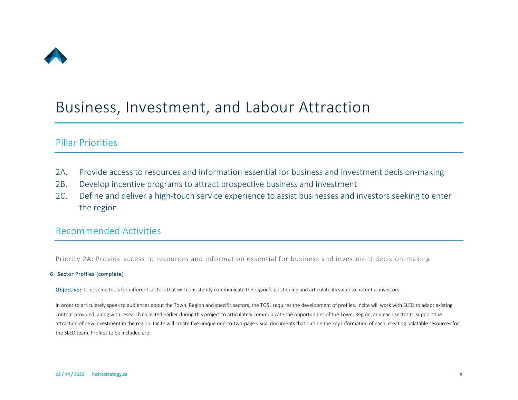

# <span id="page-9-0"></span>Business, Investment, and Labour Attraction

# <span id="page-9-1"></span>Pillar Priorities

- 2A. Provide access to resources and information essential for business and investment decision-making
- 2B. Develop incentive programs to attract prospective business and investment
- 2C. Define and deliver a high-touch service experience to assist businesses and investors seeking to enter the region

## <span id="page-9-2"></span>Recommended Activities

Priority 2A: Provide access to resources and information essential for business and investment decision-making

## 6. Sector Profiles (complete)

Objective: To develop tools for different sectors that will consistently communicate the region's positioning and articulate its value to potential investors

In order to articulately speak to audiences about the Town, Region and specific sectors, the TOSL requires the development of profiles. Incite will work with SLED to adapt existing content provided, along with research collected earlier during this project to articulately communicate the opportunities of the Town, Region, and each sector to support the attraction of new investment in the region. Incite will create five unique one-to-two-page visual documents that outline the key information of each, creating palatable resources for the SLED team. Profiles to be included are: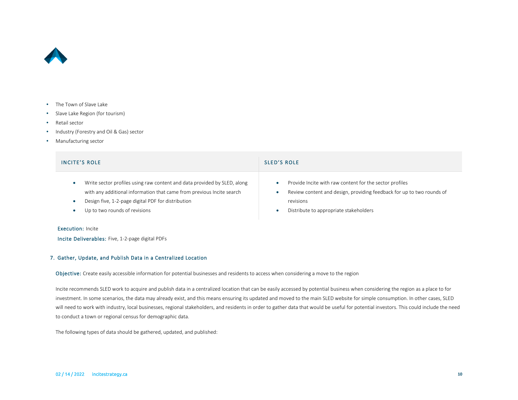

- The Town of Slave Lake
- Slave Lake Region (for tourism)
- Retail sector
- Industry (Forestry and Oil & Gas) sector
- Manufacturing sector

| <b>INCITE'S ROLE</b>                                                                                                                                                                                                                                  | <b>SLED'S ROLE</b>                                                                                                                                                                      |
|-------------------------------------------------------------------------------------------------------------------------------------------------------------------------------------------------------------------------------------------------------|-----------------------------------------------------------------------------------------------------------------------------------------------------------------------------------------|
| Write sector profiles using raw content and data provided by SLED, along<br>$\bullet$<br>with any additional information that came from previous Incite search<br>Design five, 1-2-page digital PDF for distribution<br>Up to two rounds of revisions | Provide Incite with raw content for the sector profiles<br>Review content and design, providing feedback for up to two rounds of<br>revisions<br>Distribute to appropriate stakeholders |
| . For a month of the state of the state of the state of the state of the state of the state of the state of the                                                                                                                                       |                                                                                                                                                                                         |

#### Execution: Incite

Incite Deliverables: Five, 1-2-page digital PDFs

### 7. Gather, Update, and Publish Data in a Centralized Location

Objective: Create easily accessible information for potential businesses and residents to access when considering a move to the region

Incite recommends SLED work to acquire and publish data in a centralized location that can be easily accessed by potential business when considering the region as a place to for investment. In some scenarios, the data may already exist, and this means ensuring its updated and moved to the main SLED website for simple consumption. In other cases, SLED will need to work with industry, local businesses, regional stakeholders, and residents in order to gather data that would be useful for potential investors. This could include the need to conduct a town or regional census for demographic data.

The following types of data should be gathered, updated, and published: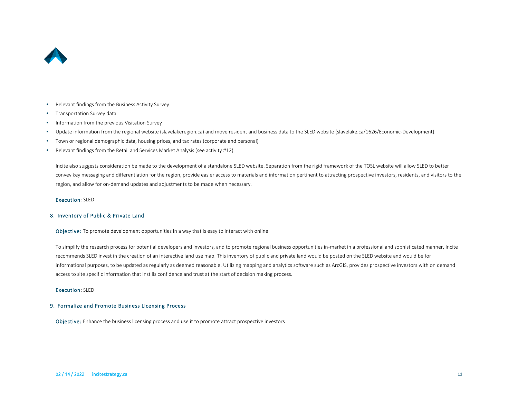

- Relevant findings from the Business Activity Survey
- Transportation Survey data
- Information from the previous Visitation Survey
- Update information from the regional website (slavelakeregion.ca) and move resident and business data to the SLED website (slavelake.ca/1626/Economic-Development).
- Town or regional demographic data, housing prices, and tax rates (corporate and personal)
- Relevant findings from the Retail and Services Market Analysis (see activity #12)

Incite also suggests consideration be made to the development of a standalone SLED website. Separation from the rigid framework of the TOSL website will allow SLED to better convey key messaging and differentiation for the region, provide easier access to materials and information pertinent to attracting prospective investors, residents, and visitors to the region, and allow for on-demand updates and adjustments to be made when necessary.

#### Execution: SLED

#### 8. Inventory of Public & Private Land

Objective: To promote development opportunities in a way that is easy to interact with online

To simplify the research process for potential developers and investors, and to promote regional business opportunities in-market in a professional and sophisticated manner, Incite recommends SLED invest in the creation of an interactive land use map. This inventory of public and private land would be posted on the SLED website and would be for informational purposes, to be updated as regularly as deemed reasonable. Utilizing mapping and analytics software such as ArcGIS, provides prospective investors with on demand access to site specific information that instills confidence and trust at the start of decision making process.

#### Execution: SLED

#### 9. Formalize and Promote Business Licensing Process

Objective: Enhance the business licensing process and use it to promote attract prospective investors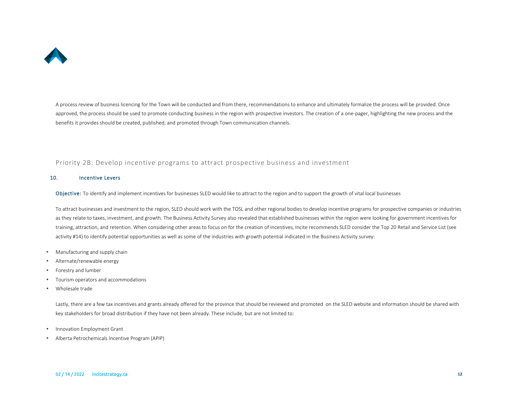

A process review of business licencing for the Town will be conducted and from there, recommendations to enhance and ultimately formalize the process will be provided. Once approved, the process should be used to promote conducting business in the region with prospective investors. The creation of a one-pager, highlighting the new process and the benefits it provides should be created, published, and promoted through Town communication channels.

## Priority 2B: Develop incentive programs to attract prospective business and investment

#### 10. Incentive Levers

Objective: To identify and implement incentives for businesses SLED would like to attract to the region and to support the growth of vital local businesses

To attract businesses and investment to the region, SLED should work with the TOSL and other regional bodies to develop incentive programs for prospective companies or industries as they relate to taxes, investment, and growth. The Business Activity Survey also revealed that established businesses within the region were looking for government incentives for training, attraction, and retention. When considering other areas to focus on for the creation of incentives, Incite recommends SLED consider the Top 20 Retail and Service List (see activity #14) to identify potential opportunities as well as some of the industries with growth potential indicated in the Business Activity survey:

- Manufacturing and supply chain
- Alternate/renewable energy
- Forestry and lumber
- Tourism operators and accommodations
- Wholesale trade

Lastly, there are a few tax incentives and grants already offered for the province that should be reviewed and promoted on the SLED website and information should be shared with key stakeholders for broad distribution if they have not been already. These include, but are not limited to:

- Innovation Employment Grant
- Alberta Petrochemicals Incentive Program (APIP)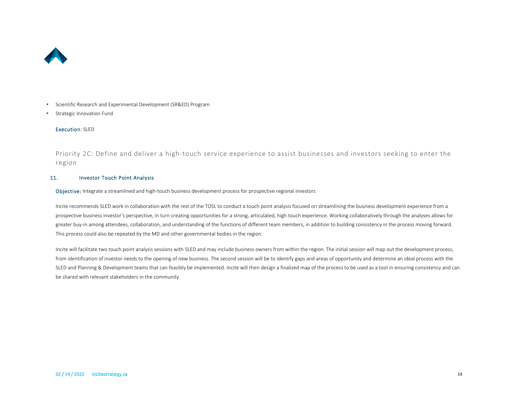

- Scientific Research and Experimental Development (SR&ED) Program
- Strategic Innovation Fund

#### Execution: SLED

Priority 2C: Define and deliver a high-touch service experience to assist businesses and investors seeking to enter the region

#### 11. Investor Touch Point Analysis

Objective: Integrate a streamlined and high-touch business development process for prospective regional investors

Incite recommends SLED work in collaboration with the rest of the TOSL to conduct a touch point analysis focused on streamlining the business development experience from a prospective business investor's perspective, in turn creating opportunities for a strong, articulated, high touch experience. Working collaboratively through the analyses allows for greater buy-in among attendees, collaboration, and understanding of the functions of different team members, in addition to building consistency in the process moving forward. This process could also be repeated by the MD and other governmental bodies in the region.

Incite will facilitate two touch point analysis sessions with SLED and may include business owners from within the region. The initial session will map out the development process, from identification of investor needs to the opening of new business. The second session will be to identify gaps and areas of opportunity and determine an ideal process with the SLED and Planning & Development teams that can feasibly be implemented. Incite will then design a finalized map of the process to be used as a tool in ensuring consistency and can be shared with relevant stakeholders in the community.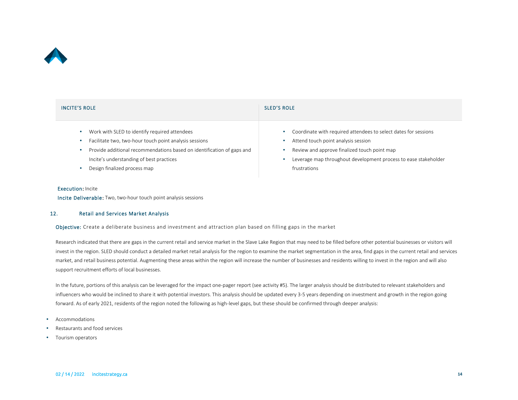

| <b>INCITE'S ROLE</b>                                                   | <b>SLED'S ROLE</b>                                              |
|------------------------------------------------------------------------|-----------------------------------------------------------------|
| Work with SLED to identify required attendees                          | Coordinate with required attendees to select dates for sessions |
| Facilitate two, two-hour touch point analysis sessions                 | Attend touch point analysis session                             |
| Provide additional recommendations based on identification of gaps and | Review and approve finalized touch point map                    |
| Incite's understanding of best practices                               | Leverage map throughout development process to ease stakeholder |
| Design finalized process map                                           | frustrations                                                    |

#### Execution: Incite

Incite Deliverable: Two, two-hour touch point analysis sessions

#### 12. Retail and Services Market Analysis

Objective: Create a deliberate business and investment and attraction plan based on filling gaps in the market

Research indicated that there are gaps in the current retail and service market in the Slave Lake Region that may need to be filled before other potential businesses or visitors will invest in the region. SLED should conduct a detailed market retail analysis for the region to examine the market segmentation in the area, find gaps in the current retail and services market, and retail business potential. Augmenting these areas within the region will increase the number of businesses and residents willing to invest in the region and will also support recruitment efforts of local businesses.

In the future, portions of this analysis can be leveraged for the impact one-pager report (see activity #5). The larger analysis should be distributed to relevant stakeholders and influencers who would be inclined to share it with potential investors. This analysis should be updated every 3-5 years depending on investment and growth in the region going forward. As of early 2021, residents of the region noted the following as high-level gaps, but these should be confirmed through deeper analysis:

- Accommodations
- Restaurants and food services
- Tourism operators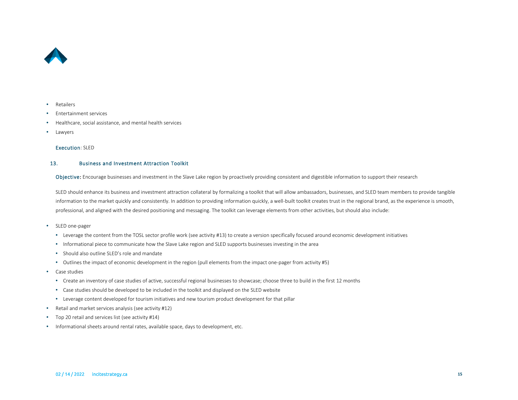

#### • Retailers

- Entertainment services
- Healthcare, social assistance, and mental health services
- **Lawyers**

#### Execution: SLED

#### 13. Business and Investment Attraction Toolkit

Objective: Encourage businesses and investment in the Slave Lake region by proactively providing consistent and digestible information to support their research

SLED should enhance its business and investment attraction collateral by formalizing a toolkit that will allow ambassadors, businesses, and SLED team members to provide tangible information to the market quickly and consistently. In addition to providing information quickly, a well-built toolkit creates trust in the regional brand, as the experience is smooth, professional, and aligned with the desired positioning and messaging. The toolkit can leverage elements from other activities, but should also include:

- SLED one-pager
	- Leverage the content from the TOSL sector profile work (see activity #13) to create a version specifically focused around economic development initiatives
	- Informational piece to communicate how the Slave Lake region and SLED supports businesses investing in the area
	- Should also outline SLED's role and mandate
	- Outlines the impact of economic development in the region (pull elements from the impact one-pager from activity #5)
- Case studies
	- Create an inventory of case studies of active, successful regional businesses to showcase; choose three to build in the first 12 months
	- Case studies should be developed to be included in the toolkit and displayed on the SLED website
	- Leverage content developed for tourism initiatives and new tourism product development for that pillar
- Retail and market services analysis (see activity #12)
- Top 20 retail and services list (see activity #14)
- Informational sheets around rental rates, available space, days to development, etc.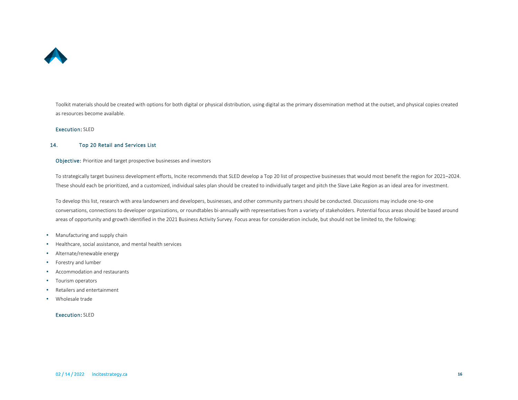

Toolkit materials should be created with options for both digital or physical distribution, using digital as the primary dissemination method at the outset, and physical copies created as resources become available.

#### Execution: SLED

#### 14. Top 20 Retail and Services List

Objective: Prioritize and target prospective businesses and investors

To strategically target business development efforts, Incite recommends that SLED develop a Top 20 list of prospective businesses that would most benefit the region for 2021–2024. These should each be prioritized, and a customized, individual sales plan should be created to individually target and pitch the Slave Lake Region as an ideal area for investment.

To develop this list, research with area landowners and developers, businesses, and other community partners should be conducted. Discussions may include one-to-one conversations, connections to developer organizations, or roundtables bi-annually with representatives from a variety of stakeholders. Potential focus areas should be based around areas of opportunity and growth identified in the 2021 Business Activity Survey. Focus areas for consideration include, but should not be limited to, the following:

- Manufacturing and supply chain
- Healthcare, social assistance, and mental health services
- Alternate/renewable energy
- Forestry and lumber
- Accommodation and restaurants
- Tourism operators
- Retailers and entertainment
- Wholesale trade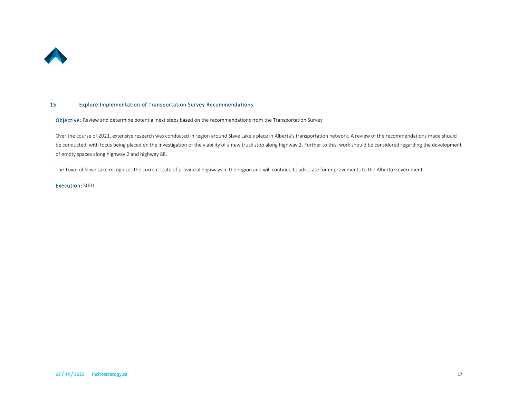

#### 15. Explore Implementation of Transportation Survey Recommendations

Objective: Review and determine potential next steps based on the recommendations from the Transportation Survey

Over the course of 2021, extensive research was conducted in region around Slave Lake's place in Alberta's transportation network. A review of the recommendations made should be conducted, with focus being placed on the investigation of the viability of a new truck stop along highway 2. Further to this, work should be considered regarding the development of empty spaces along highway 2 and highway 88.

The Town of Slave Lake recognizes the current state of provincial highways in the region and will continue to advocate for improvements to the Alberta Government.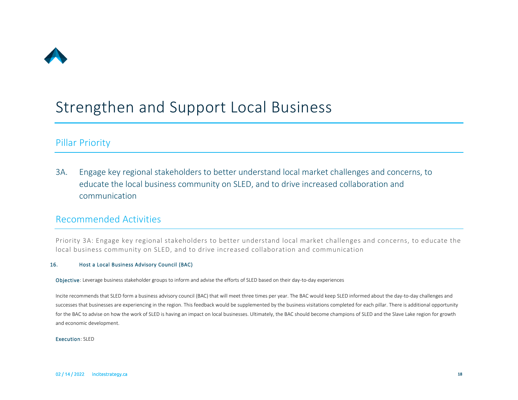

# <span id="page-18-0"></span>Strengthen and Support Local Business

# <span id="page-18-1"></span>Pillar Priority

3A. Engage key regional stakeholders to better understand local market challenges and concerns, to educate the local business community on SLED, and to drive increased collaboration and communication

## <span id="page-18-2"></span>Recommended Activities

Priority 3A: Engage key regional stakeholders to better understand local market challenges and concerns, to educate the local business community on SLED, and to drive increased collaboration and communication

## 16. Host a Local Business Advisory Council (BAC)

Objective: Leverage business stakeholder groups to inform and advise the efforts of SLED based on their day-to-day experiences

Incite recommends that SLED form a business advisory council (BAC) that will meet three times per year. The BAC would keep SLED informed about the day-to-day challenges and successes that businesses are experiencing in the region. This feedback would be supplemented by the business visitations completed for each pillar. There is additional opportunity for the BAC to advise on how the work of SLED is having an impact on local businesses. Ultimately, the BAC should become champions of SLED and the Slave Lake region for growth and economic development.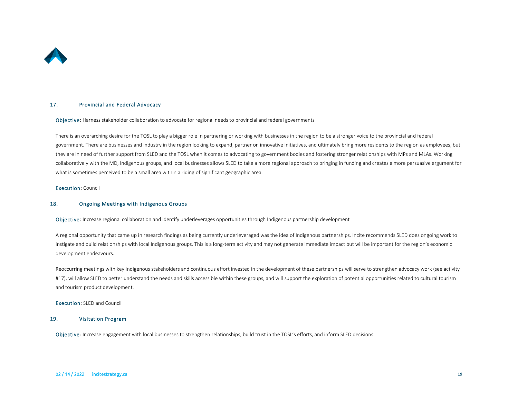

#### 17. Provincial and Federal Advocacy

Objective: Harness stakeholder collaboration to advocate for regional needs to provincial and federal governments

There is an overarching desire for the TOSL to play a bigger role in partnering or working with businesses in the region to be a stronger voice to the provincial and federal government. There are businesses and industry in the region looking to expand, partner on innovative initiatives, and ultimately bring more residents to the region as employees, but they are in need of further support from SLED and the TOSL when it comes to advocating to government bodies and fostering stronger relationships with MPs and MLAs. Working collaboratively with the MD, Indigenous groups, and local businesses allows SLED to take a more regional approach to bringing in funding and creates a more persuasive argument for what is sometimes perceived to be a small area within a riding of significant geographic area.

Execution: Council

#### 18. Ongoing Meetings with Indigenous Groups

Objective: Increase regional collaboration and identify underleverages opportunities through Indigenous partnership development

A regional opportunity that came up in research findings as being currently underleveraged was the idea of Indigenous partnerships. Incite recommends SLED does ongoing work to instigate and build relationships with local Indigenous groups. This is a long-term activity and may not generate immediate impact but will be important for the region's economic development endeavours.

Reoccurring meetings with key Indigenous stakeholders and continuous effort invested in the development of these partnerships will serve to strengthen advocacy work (see activity #17), will allow SLED to better understand the needs and skills accessible within these groups, and will support the exploration of potential opportunities related to cultural tourism and tourism product development.

#### Execution: SLED and Council

#### 19. Visitation Program

Objective: Increase engagement with local businesses to strengthen relationships, build trust in the TOSL's efforts, and inform SLED decisions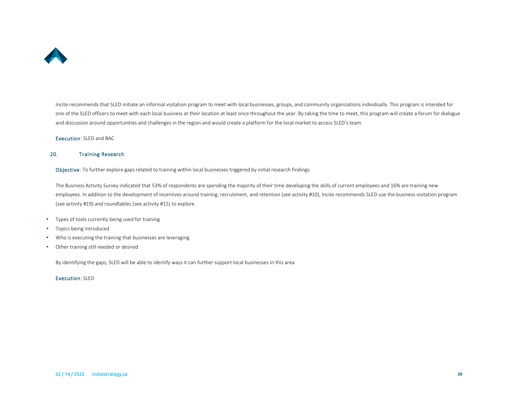

Incite recommends that SLED initiate an informal visitation program to meet with local businesses, groups, and community organizations individually. This program is intended for one of the SLED officers to meet with each local business at their location at least once throughout the year. By taking the time to meet, this program will create a forum for dialogue and discussion around opportunities and challenges in the region and would create a platform for the local market to access SLED's team.

Execution: SLED and BAC

#### 20. Training Research

Objective: To further explore gaps related to training within local businesses triggered by initial research findings

The Business Activity Survey indicated that 53% of respondents are spending the majority of their time developing the skills of current employees and 16% are training new employees. In addition to the development of incentives around training, recruitment, and retention (see activity #10), Incite recommends SLED use the business visitation program (see activity #19) and roundtables (see activity #15) to explore

- Types of tools currently being used for training
- Topics being introduced
- Who is executing the training that businesses are leveraging
- Other training still needed or desired

By identifying the gaps, SLED will be able to identify ways it can further support local businesses in this area.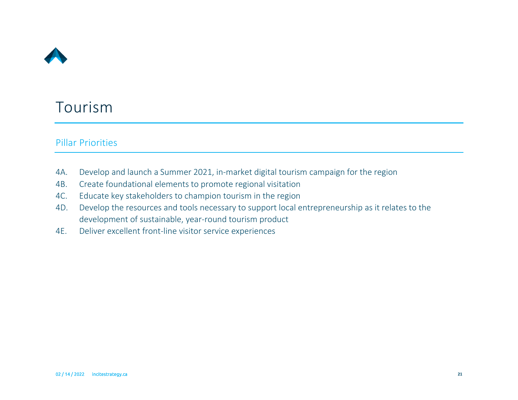

# <span id="page-21-0"></span>Tourism

# <span id="page-21-1"></span>Pillar Priorities

- 4A. Develop and launch a Summer 2021, in-market digital tourism campaign for the region
- 4B. Create foundational elements to promote regional visitation
- 4C. Educate key stakeholders to champion tourism in the region
- 4D. Develop the resources and tools necessary to support local entrepreneurship as it relates to the development of sustainable, year-round tourism product
- 4E. Deliver excellent front-line visitor service experiences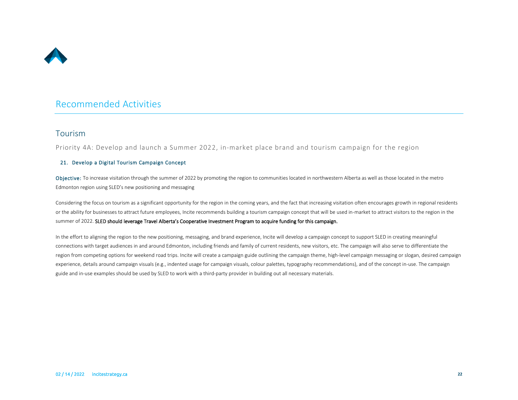

## <span id="page-22-0"></span>Recommended Activities

## Tourism

Priority 4A: Develop and launch a Summer 2022, in-market place brand and tourism campaign for the region

### 21. Develop a Digital Tourism Campaign Concept

Objective: To increase visitation through the summer of 2022 by promoting the region to communities located in northwestern Alberta as well as those located in the metro Edmonton region using SLED's new positioning and messaging

Considering the focus on tourism as a significant opportunity for the region in the coming years, and the fact that increasing visitation often encourages growth in regional residents or the ability for businesses to attract future employees, Incite recommends building a tourism campaign concept that will be used in-market to attract visitors to the region in the summer of 2022. SLED should leverage Travel Alberta's Cooperative Investment Program to acquire funding for this campaign.

In the effort to aligning the region to the new positioning, messaging, and brand experience, Incite will develop a campaign concept to support SLED in creating meaningful connections with target audiences in and around Edmonton, including friends and family of current residents, new visitors, etc. The campaign will also serve to differentiate the region from competing options for weekend road trips. Incite will create a campaign guide outlining the campaign theme, high-level campaign messaging or slogan, desired campaign experience, details around campaign visuals (e.g., indented usage for campaign visuals, colour palettes, typography recommendations), and of the concept in-use. The campaign guide and in-use examples should be used by SLED to work with a third-party provider in building out all necessary materials.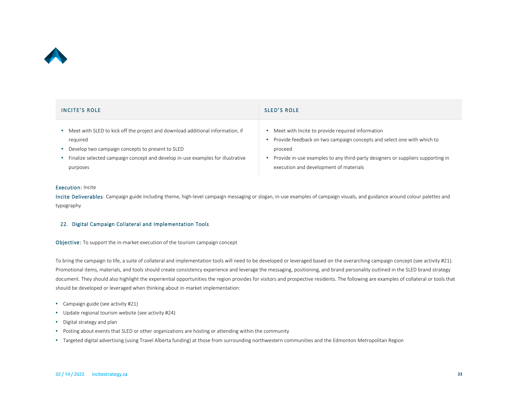

| <b>INCITE'S ROLE</b>                                                            | <b>SLED'S ROLE</b>                                                              |
|---------------------------------------------------------------------------------|---------------------------------------------------------------------------------|
| Meet with SLED to kick off the project and download additional information, if  | Meet with Incite to provide required information                                |
| required                                                                        | Provide feedback on two campaign concepts and select one with which to          |
| Develop two campaign concepts to present to SLED                                | proceed                                                                         |
| Finalize selected campaign concept and develop in-use examples for illustrative | Provide in-use examples to any third-party designers or suppliers supporting in |
| purposes                                                                        | execution and development of materials                                          |

#### Execution: Incite

Incite Deliverables: Campaign guide including theme, high-level campaign messaging or slogan, in-use examples of campaign visuals, and guidance around colour palettes and typography

#### 22. Digital Campaign Collateral and Implementation Tools

Objective: To support the in-market execution of the tourism campaign concept

To bring the campaign to life, a suite of collateral and implementation tools will need to be developed or leveraged based on the overarching campaign concept (see activity #21). Promotional items, materials, and tools should create consistency experience and leverage the messaging, positioning, and brand personality outlined in the SLED brand strategy document. They should also highlight the experiential opportunities the region provides for visitors and prospective residents. The following are examples of collateral or tools that should be developed or leveraged when thinking about in-market implementation:

- Campaign guide (see activity #21)
- Update regional tourism website (see activity #24)
- Digital strategy and plan
- Posting about events that SLED or other organizations are hosting or attending within the community
- Targeted digital advertising (using Travel Alberta funding) at those from surrounding northwestern communities and the Edmonton Metropolitan Region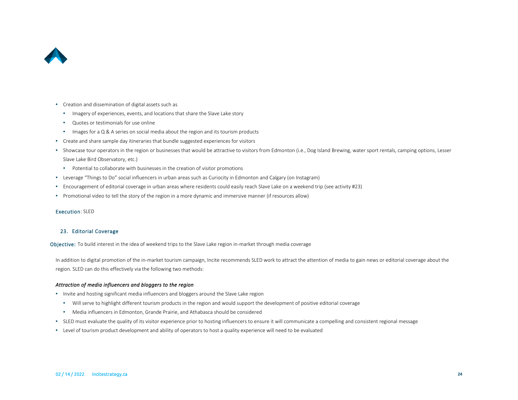

- Creation and dissemination of digital assets such as
	- Imagery of experiences, events, and locations that share the Slave Lake story
	- Quotes or testimonials for use online
	- Images for a Q & A series on social media about the region and its tourism products
- Create and share sample day itineraries that bundle suggested experiences for visitors
- Showcase tour operators in the region or businesses that would be attractive to visitors from Edmonton (i.e., Dog Island Brewing, water sport rentals, camping options, Lesser Slave Lake Bird Observatory, etc.)
	- Potential to collaborate with businesses in the creation of visitor promotions
- Leverage "Things to Do" social influencers in urban areas such as Curiocity in Edmonton and Calgary (on Instagram)
- Encouragement of editorial coverage in urban areas where residents could easily reach Slave Lake on a weekend trip (see activity #23)
- Promotional video to tell the story of the region in a more dynamic and immersive manner (if resources allow)

#### Execution: SLED

#### 23. Editorial Coverage

Objective: To build interest in the idea of weekend trips to the Slave Lake region in-market through media coverage

In addition to digital promotion of the in-market tourism campaign, Incite recommends SLED work to attract the attention of media to gain news or editorial coverage about the region. SLED can do this effectively via the following two methods:

### *Attraction of media influencers and bloggers to the region*

- Invite and hosting significant media influencers and bloggers around the Slave Lake region
	- Will serve to highlight different tourism products in the region and would support the development of positive editorial coverage
	- Media influencers in Edmonton, Grande Prairie, and Athabasca should be considered
- SLED must evaluate the quality of its visitor experience prior to hosting influencers to ensure it will communicate a compelling and consistent regional message
- Level of tourism product development and ability of operators to host a quality experience will need to be evaluated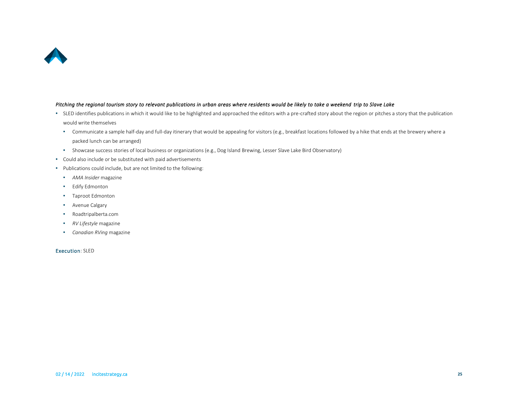

#### *Pitching the regional tourism story to relevant publications in urban areas where residents would be likely to take a weekend trip to Slave Lake*

- SLED identifies publications in which it would like to be highlighted and approached the editors with a pre-crafted story about the region or pitches a story that the publication would write themselves
	- Communicate a sample half-day and full-day itinerary that would be appealing for visitors (e.g., breakfast locations followed by a hike that ends at the brewery where a packed lunch can be arranged)
	- Showcase success stories of local business or organizations (e.g., Dog Island Brewing, Lesser Slave Lake Bird Observatory)
- Could also include or be substituted with paid advertisements
- Publications could include, but are not limited to the following:
	- *AMA Insider* magazine
	- Edify Edmonton
	- Taproot Edmonton
	- Avenue Calgary
	- Roadtripalberta.com
	- *RV Lifestyle* magazine
	- *Canadian RVing* magazine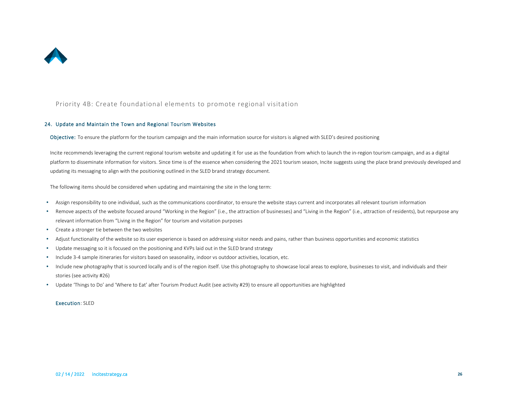

### Priority 4B: Create foundational elements to promote regional visitation

#### 24. Update and Maintain the Town and Regional Tourism Websites

Objective: To ensure the platform for the tourism campaign and the main information source for visitors is aligned with SLED's desired positioning

Incite recommends leveraging the current regional tourism website and updating it for use as the foundation from which to launch the in-region tourism campaign, and as a digital platform to disseminate information for visitors. Since time is of the essence when considering the 2021 tourism season, Incite suggests using the place brand previously developed and updating its messaging to align with the positioning outlined in the SLED brand strategy document.

The following items should be considered when updating and maintaining the site in the long term:

- Assign responsibility to one individual, such as the communications coordinator, to ensure the website stays current and incorporates all relevant tourism information
- Remove aspects of the website focused around "Working in the Region" (i.e., the attraction of businesses) and "Living in the Region" (i.e., attraction of residents), but repurpose any relevant information from "Living in the Region" for tourism and visitation purposes
- Create a stronger tie between the two websites
- Adjust functionality of the website so its user experience is based on addressing visitor needs and pains, rather than business opportunities and economic statistics
- Update messaging so it is focused on the positioning and KVPs laid out in the SLED brand strategy
- Include 3-4 sample itineraries for visitors based on seasonality, indoor vs outdoor activities, location, etc.
- Include new photography that is sourced locally and is of the region itself. Use this photography to showcase local areas to explore, businesses to visit, and individuals and their stories (see activity #26)
- Update 'Things to Do' and 'Where to Eat' after Tourism Product Audit (see activity #29) to ensure all opportunities are highlighted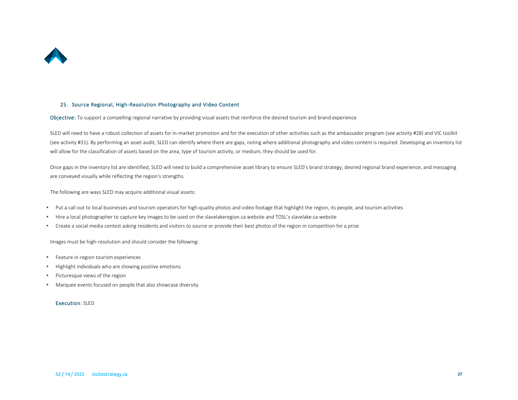

#### 25. Source Regional, High-Resolution Photography and Video Content

Objective: To support a compelling regional narrative by providing visual assets that reinforce the desired tourism and brand experience

SLED will need to have a robust collection of assets for in-market promotion and for the execution of other activities such as the ambassador program (see activity #28) and VIC toolkit (see activity #31). By performing an asset audit, SLED can identify where there are gaps, noting where additional photography and video content is required. Developing an inventory list will allow for the classification of assets based on the area, type of tourism activity, or medium, they should be used for.

Once gaps in the inventory list are identified, SLED will need to build a comprehensive asset library to ensure SLED's brand strategy, desired regional brand experience, and messaging are conveyed visually while reflecting the region's strengths.

The following are ways SLED may acquire additional visual assets:

- Put a call out to local businesses and tourism operators for high-quality photos and video footage that highlight the region, its people, and tourism activities
- Hire a local photographer to capture key images to be used on the slavelakeregion.ca website and TOSL's slavelake.ca website
- Create a social media contest asking residents and visitors to source or provide their best photos of the region in competition for a prize

Images must be high-resolution and should consider the following:

- Feature in-region tourism experiences
- Highlight individuals who are showing positive emotions
- Picturesque views of the region
- Marquee events focused on people that also showcase diversity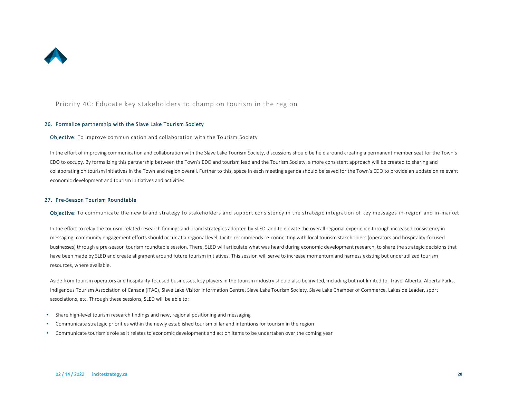

### Priority 4C: Educate key stakeholders to champion tourism in the region

#### 26. Formalize partnership with the Slave Lake Tourism Society

Objective: To improve communication and collaboration with the Tourism Society

In the effort of improving communication and collaboration with the Slave Lake Tourism Society, discussions should be held around creating a permanent member seat for the Town's EDO to occupy. By formalizing this partnership between the Town's EDO and tourism lead and the Tourism Society, a more consistent approach will be created to sharing and collaborating on tourism initiatives in the Town and region overall. Further to this, space in each meeting agenda should be saved for the Town's EDO to provide an update on relevant economic development and tourism initiatives and activities.

#### 27. Pre-Season Tourism Roundtable

Objective: To communicate the new brand strategy to stakeholders and support consistency in the strategic integration of key messages in-region and in-market

In the effort to relay the tourism-related research findings and brand strategies adopted by SLED, and to elevate the overall regional experience through increased consistency in messaging, community engagement efforts should occur at a regional level, Incite recommends re-connecting with local tourism stakeholders (operators and hospitality-focused businesses) through a pre-season tourism roundtable session. There, SLED will articulate what was heard during economic development research, to share the strategic decisions that have been made by SLED and create alignment around future tourism initiatives. This session will serve to increase momentum and harness existing but underutilized tourism resources, where available.

Aside from tourism operators and hospitality-focused businesses, key players in the tourism industry should also be invited, including but not limited to, Travel Alberta, Alberta Parks, Indigenous Tourism Association of Canada (ITAC), Slave Lake Visitor Information Centre, Slave Lake Tourism Society, Slave Lake Chamber of Commerce, Lakeside Leader, sport associations, etc. Through these sessions, SLED will be able to:

- Share high-level tourism research findings and new, regional positioning and messaging
- Communicate strategic priorities within the newly established tourism pillar and intentions for tourism in the region
- Communicate tourism's role as it relates to economic development and action items to be undertaken over the coming year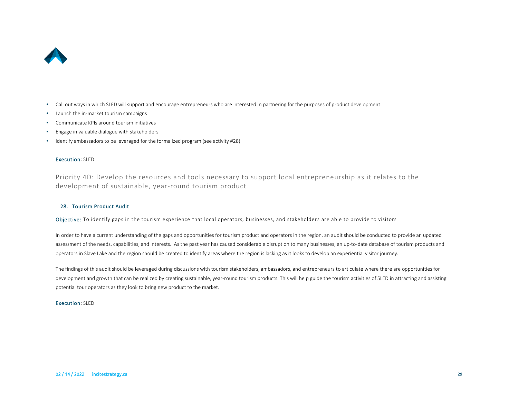

- Call out ways in which SLED will support and encourage entrepreneurs who are interested in partnering for the purposes of product development
- Launch the in-market tourism campaigns
- Communicate KPIs around tourism initiatives
- Engage in valuable dialogue with stakeholders
- Identify ambassadors to be leveraged for the formalized program (see activity #28)

#### Execution: SLED

Priority 4D: Develop the resources and tools necessary to support local entrepreneurship as it relates to the development of sustainable, year-round tourism product

#### 28. Tourism Product Audit

Objective: To identify gaps in the tourism experience that local operators, businesses, and stakeholders are able to provide to visitors

In order to have a current understanding of the gaps and opportunities for tourism product and operators in the region, an audit should be conducted to provide an updated assessment of the needs, capabilities, and interests. As the past year has caused considerable disruption to many businesses, an up-to-date database of tourism products and operators in Slave Lake and the region should be created to identify areas where the region is lacking as it looks to develop an experiential visitor journey.

The findings of this audit should be leveraged during discussions with tourism stakeholders, ambassadors, and entrepreneurs to articulate where there are opportunities for development and growth that can be realized by creating sustainable, year-round tourism products. This will help guide the tourism activities of SLED in attracting and assisting potential tour operators as they look to bring new product to the market.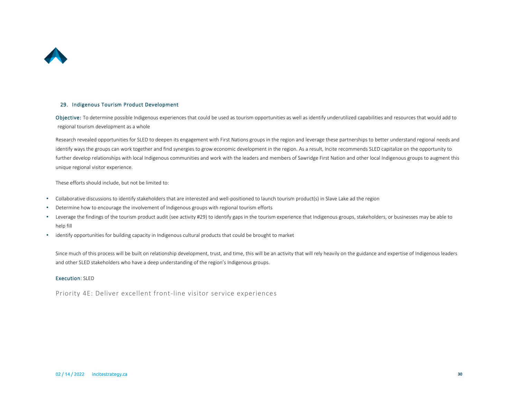

#### 29. Indigenous Tourism Product Development

Objective: To determine possible Indigenous experiences that could be used as tourism opportunities as well as identify underutilized capabilities and resources that would add to regional tourism development as a whole

Research revealed opportunities for SLED to deepen its engagement with First Nations groups in the region and leverage these partnerships to better understand regional needs and identify ways the groups can work together and find synergies to grow economic development in the region. As a result, Incite recommends SLED capitalize on the opportunity to further develop relationships with local Indigenous communities and work with the leaders and members of Sawridge First Nation and other local Indigenous groups to augment this unique regional visitor experience.

These efforts should include, but not be limited to:

- Collaborative discussions to identify stakeholders that are interested and well-positioned to launch tourism product(s) in Slave Lake ad the region
- Determine how to encourage the involvement of Indigenous groups with regional tourism efforts
- Leverage the findings of the tourism product audit (see activity #29) to identify gaps in the tourism experience that Indigenous groups, stakeholders, or businesses may be able to help fill
- identify opportunities for building capacity in Indigenous cultural products that could be brought to market

Since much of this process will be built on relationship development, trust, and time, this will be an activity that will rely heavily on the guidance and expertise of Indigenous leaders and other SLED stakeholders who have a deep understanding of the region's Indigenous groups.

#### Execution: SLED

Priority 4E: Deliver excellent front-line visitor service experiences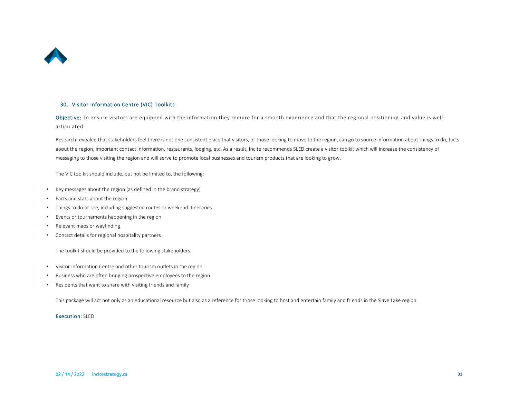

#### 30. Visitor Information Centre (VIC) Toolkits

Objective: To ensure visitors are equipped with the information they require for a smooth experience and that the regional positioning and value is wellarticulated

Research revealed that stakeholders feel there is not one consistent place that visitors, or those looking to move to the region, can go to source information about things to do, facts about the region, important contact information, restaurants, lodging, etc. As a result, Incite recommends SLED create a visitor toolkit which will increase the consistency of messaging to those visiting the region and will serve to promote local businesses and tourism products that are looking to grow.

The VIC toolkit should include, but not be limited to, the following:

- Key messages about the region (as defined in the brand strategy)
- Facts and stats about the region
- Things to do or see, including suggested routes or weekend itineraries
- Events or tournaments happening in the region
- Relevant maps or wayfinding
- Contact details for regional hospitality partners

The toolkit should be provided to the following stakeholders:

- Visitor Information Centre and other tourism outlets in the region
- Business who are often bringing prospective employees to the region
- Residents that want to share with visiting friends and family

This package will act not only as an educational resource but also as a reference for those looking to host and entertain family and friends in the Slave Lake region.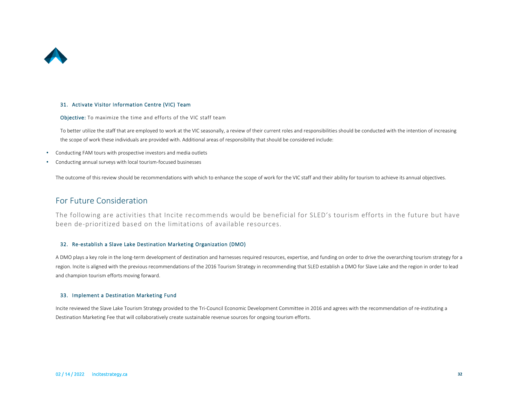

#### 31. Activate Visitor Information Centre (VIC) Team

Objective: To maximize the time and efforts of the VIC staff team

To better utilize the staff that are employed to work at the VIC seasonally, a review of their current roles and responsibilities should be conducted with the intention of increasing the scope of work these individuals are provided with. Additional areas of responsibility that should be considered include:

- Conducting FAM tours with prospective investors and media outlets
- Conducting annual surveys with local tourism-focused businesses

The outcome of this review should be recommendations with which to enhance the scope of work for the VIC staff and their ability for tourism to achieve its annual objectives.

## For Future Consideration

The following are activities that Incite recommends would be beneficial for SLED's tourism efforts in the future but have been de-prioritized based on the limitations of available resources.

#### 32. Re-establish a Slave Lake Destination Marketing Organization (DMO)

A DMO plays a key role in the long-term development of destination and harnesses required resources, expertise, and funding on order to drive the overarching tourism strategy for a region. Incite is aligned with the previous recommendations of the 2016 Tourism Strategy in recommending that SLED establish a DMO for Slave Lake and the region in order to lead and champion tourism efforts moving forward.

#### 33. Implement a Destination Marketing Fund

Incite reviewed the Slave Lake Tourism Strategy provided to the Tri-Council Economic Development Committee in 2016 and agrees with the recommendation of re-instituting a Destination Marketing Fee that will collaboratively create sustainable revenue sources for ongoing tourism efforts.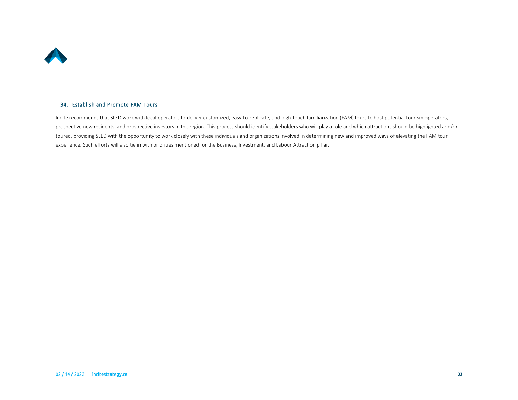

#### 34. Establish and Promote FAM Tours

Incite recommends that SLED work with local operators to deliver customized, easy-to-replicate, and high-touch familiarization (FAM) tours to host potential tourism operators, prospective new residents, and prospective investors in the region. This process should identify stakeholders who will play a role and which attractions should be highlighted and/or toured, providing SLED with the opportunity to work closely with these individuals and organizations involved in determining new and improved ways of elevating the FAM tour experience. Such efforts will also tie in with priorities mentioned for the Business, Investment, and Labour Attraction pillar.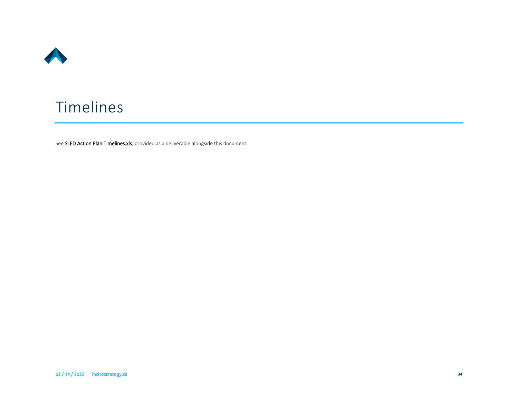

# <span id="page-34-0"></span>Timelines

See SLED Action Plan Timelines.xls, provided as a deliverable alongside this document.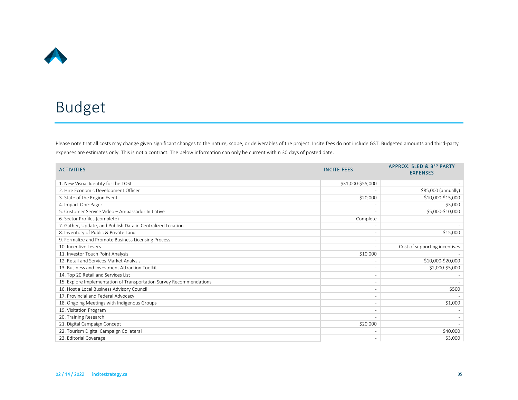

# <span id="page-35-0"></span>Budget

Please note that all costs may change given significant changes to the nature, scope, or deliverables of the project. Incite fees do not include GST. Budgeted amounts and third-party expenses are estimates only. This is not a contract. The below information can only be current within 30 days of posted date.

| <b>ACTIVITIES</b>                                                   | <b>INCITE FEES</b> | APPROX. SLED & 3RD PARTY<br><b>EXPENSES</b> |
|---------------------------------------------------------------------|--------------------|---------------------------------------------|
| 1. New Visual Identity for the TOSL                                 | \$31,000-\$55,000  |                                             |
| 2. Hire Economic Development Officer                                |                    | \$85,000 (annually)                         |
| 3. State of the Region Event                                        | \$20,000           | \$10,000-\$15,000                           |
| 4. Impact One-Pager                                                 |                    | \$3,000                                     |
| 5. Customer Service Video - Ambassador Initiative                   |                    | \$5,000-\$10,000                            |
| 6. Sector Profiles (complete)                                       | Complete           |                                             |
| 7. Gather, Update, and Publish Data in Centralized Location         |                    |                                             |
| 8. Inventory of Public & Private Land                               |                    | \$15,000                                    |
| 9. Formalize and Promote Business Licensing Process                 |                    |                                             |
| 10. Incentive Levers                                                |                    | Cost of supporting incentives               |
| 11. Investor Touch Point Analysis                                   | \$10,000           |                                             |
| 12. Retail and Services Market Analysis                             |                    | \$10,000-\$20,000                           |
| 13. Business and Investment Attraction Toolkit                      |                    | \$2,000-\$5,000                             |
| 14. Top 20 Retail and Services List                                 |                    |                                             |
| 15. Explore Implementation of Transportation Survey Recommendations |                    |                                             |
| 16. Host a Local Business Advisory Council                          |                    | \$500                                       |
| 17. Provincial and Federal Advocacy                                 |                    |                                             |
| 18. Ongoing Meetings with Indigenous Groups                         |                    | \$1,000                                     |
| 19. Visitation Program                                              |                    |                                             |
| 20. Training Research                                               |                    |                                             |
| 21. Digital Campaign Concept                                        | \$20,000           |                                             |
| 22. Tourism Digital Campaign Collateral                             |                    | \$40,000                                    |
| 23. Editorial Coverage                                              |                    | \$3,000                                     |